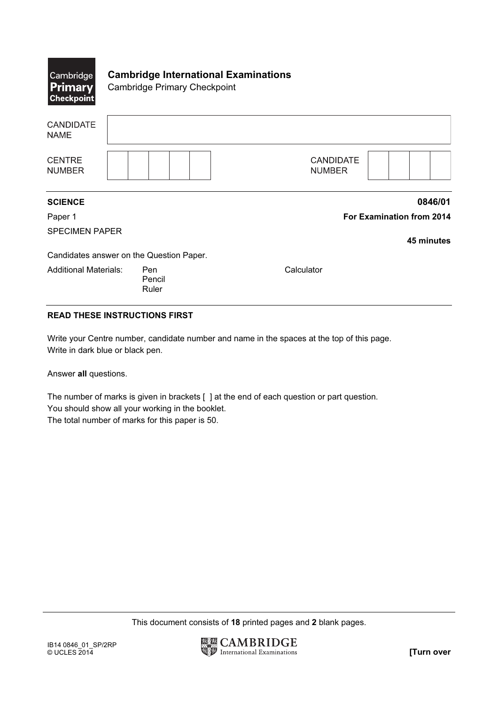| Cambridge<br><b>Primary</b><br><b>Checkpoint</b> | <b>Cambridge International Examinations</b><br><b>Cambridge Primary Checkpoint</b> |                                   |
|--------------------------------------------------|------------------------------------------------------------------------------------|-----------------------------------|
| <b>CANDIDATE</b><br><b>NAME</b>                  |                                                                                    |                                   |
| <b>CENTRE</b><br><b>NUMBER</b>                   |                                                                                    | <b>CANDIDATE</b><br><b>NUMBER</b> |
| <b>SCIENCE</b>                                   |                                                                                    | 0846/01                           |
| Paper 1                                          |                                                                                    | <b>For Examination from 2014</b>  |
| <b>SPECIMEN PAPER</b>                            |                                                                                    | 45 minutes                        |
|                                                  | Candidates answer on the Question Paper.                                           |                                   |
| <b>Additional Materials:</b>                     | Pen<br>Pencil<br>Ruler                                                             | Calculator                        |

## READ THESE INSTRUCTIONS FIRST

Write your Centre number, candidate number and name in the spaces at the top of this page. Write in dark blue or black pen.

Answer all questions.

The number of marks is given in brackets [ ] at the end of each question or part question. You should show all your working in the booklet. The total number of marks for this paper is 50.

This document consists of 18 printed pages and 2 blank pages.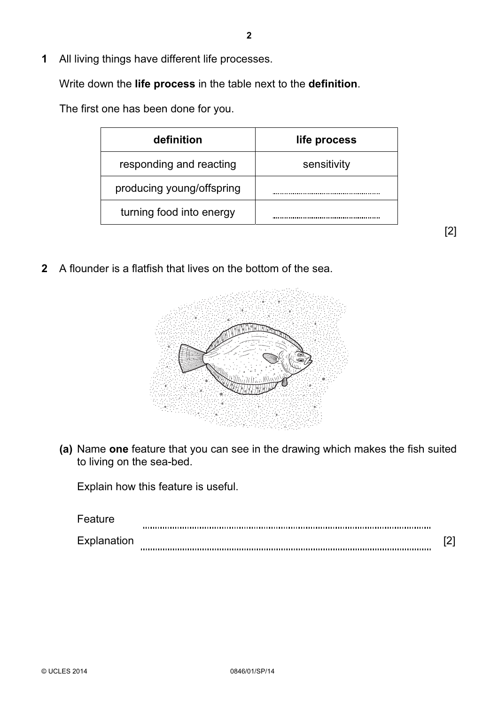1 All living things have different life processes.

Write down the life process in the table next to the definition.

The first one has been done for you.

| definition                | life process |
|---------------------------|--------------|
| responding and reacting   | sensitivity  |
| producing young/offspring |              |
| turning food into energy  |              |
|                           |              |

2 A flounder is a flatfish that lives on the bottom of the sea.



 (a) Name one feature that you can see in the drawing which makes the fish suited to living on the sea-bed.

Explain how this feature is useful.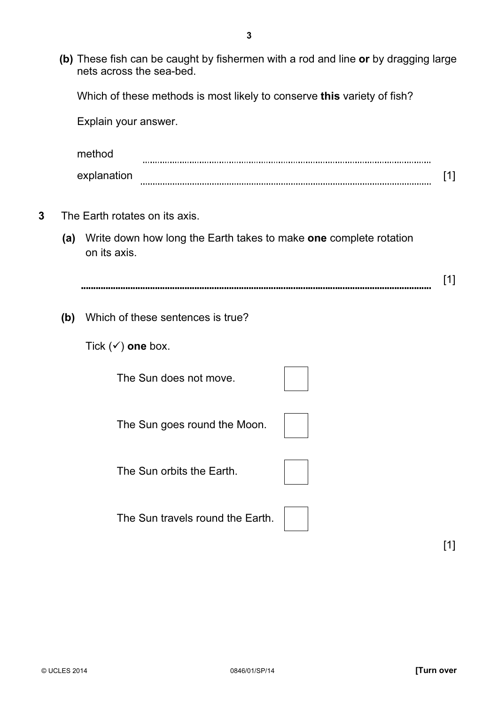(b) These fish can be caught by fishermen with a rod and line or by dragging large nets across the sea-bed. Which of these methods is most likely to conserve this variety of fish? Explain your answer. method explanation [1] 3 The Earth rotates on its axis. (a) Write down how long the Earth takes to make one complete rotation on its axis. [1] (b) Which of these sentences is true? Tick  $(\checkmark)$  one box. The Sun does not move. The Sun goes round the Moon. The Sun orbits the Earth. The Sun travels round the Earth.  $[1]$ 

3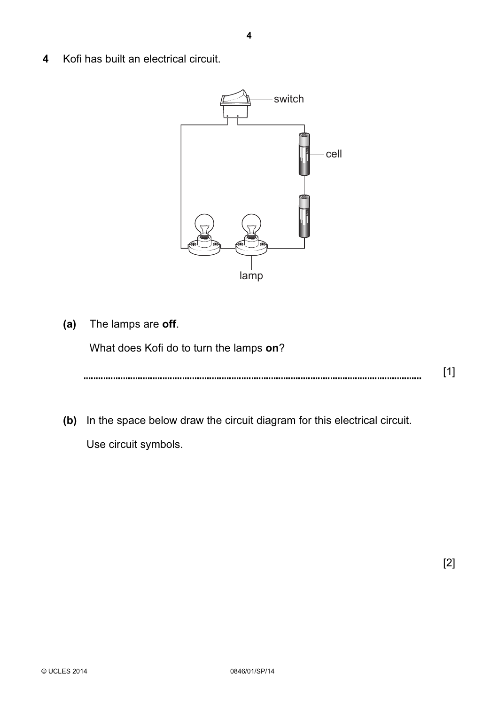4 Kofi has built an electrical circuit.



(a) The lamps are off.

What does Kofi do to turn the lamps on?

[1]

(b) In the space below draw the circuit diagram for this electrical circuit. Use circuit symbols.

[2]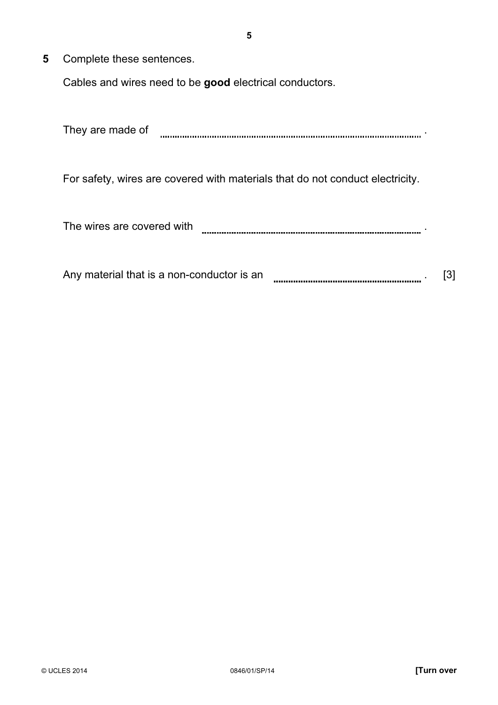5 Complete these sentences.

Cables and wires need to be good electrical conductors.

| v<br>_ |  |
|--------|--|
|        |  |

For safety, wires are covered with materials that do not conduct electricity.

The wires are covered with .

Any material that is a non-conductor is an . [3]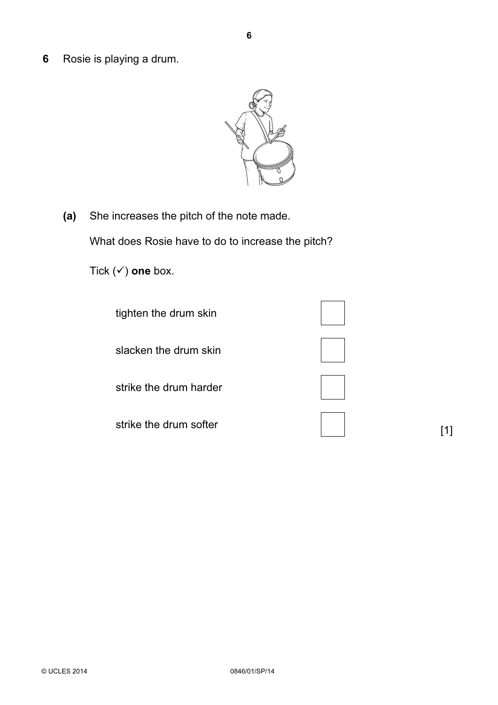6 Rosie is playing a drum.



(a) She increases the pitch of the note made.

What does Rosie have to do to increase the pitch?

Tick  $(\checkmark)$  one box.

| tighten the drum skin  |  |
|------------------------|--|
| slacken the drum skin  |  |
| strike the drum harder |  |
| strike the drum softer |  |

[1]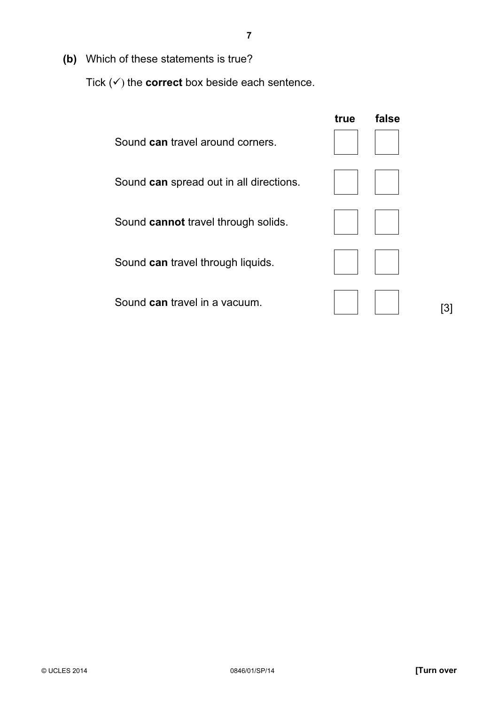- 7
- (b) Which of these statements is true?

Tick  $( $\checkmark$ )$  the **correct** box beside each sentence.

true false Sound can travel around corners. Sound can spread out in all directions. Sound cannot travel through solids. Sound can travel through liquids. Sound can travel in a vacuum.

[3]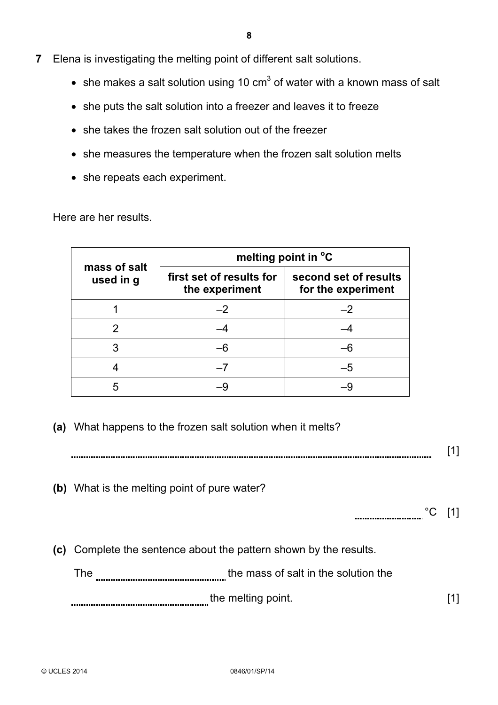- 7 Elena is investigating the melting point of different salt solutions.
	- $\bullet~$  she makes a salt solution using 10 cm<sup>3</sup> of water with a known mass of salt
	- she puts the salt solution into a freezer and leaves it to freeze
	- she takes the frozen salt solution out of the freezer
	- she measures the temperature when the frozen salt solution melts
	- she repeats each experiment.

Here are her results.

|                           | melting point in °C                        |                                             |  |  |
|---------------------------|--------------------------------------------|---------------------------------------------|--|--|
| mass of salt<br>used in g | first set of results for<br>the experiment | second set of results<br>for the experiment |  |  |
|                           | $-2$                                       | $-2$                                        |  |  |
|                           |                                            |                                             |  |  |
|                           |                                            |                                             |  |  |
|                           |                                            |                                             |  |  |
|                           |                                            |                                             |  |  |

(a) What happens to the frozen salt solution when it melts?

<u>in the communication of</u> the contract of the contract of the contract of the contract of the contract of the co

(b) What is the melting point of pure water?

..............................<sup>°</sup>C [1]

(c) Complete the sentence about the pattern shown by the results.

The the mass of salt in the solution the

the melting point. [1]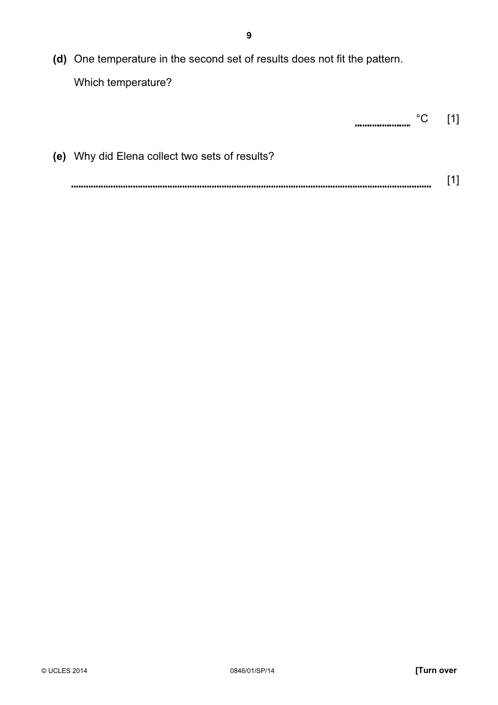(d) One temperature in the second set of results does not fit the pattern. Which temperature?

| $^{\circ}$ C [1]<br>                           |  |
|------------------------------------------------|--|
| (e) Why did Elena collect two sets of results? |  |
|                                                |  |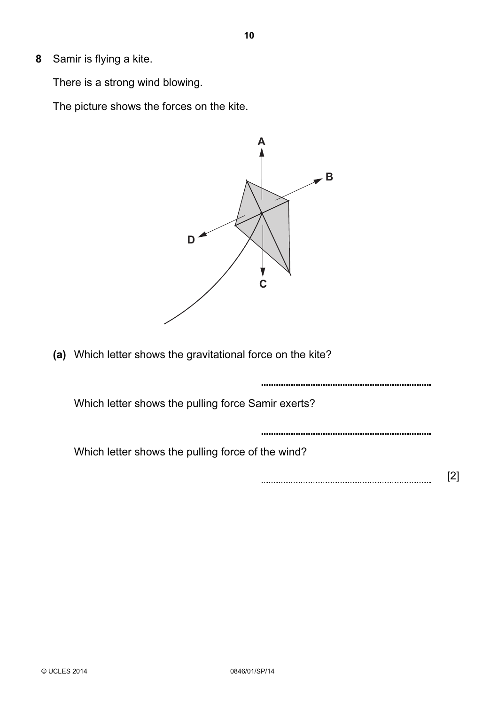8 Samir is flying a kite.

There is a strong wind blowing.

The picture shows the forces on the kite.



(a) Which letter shows the gravitational force on the kite?

Which letter shows the pulling force Samir exerts?

Which letter shows the pulling force of the wind?

[2]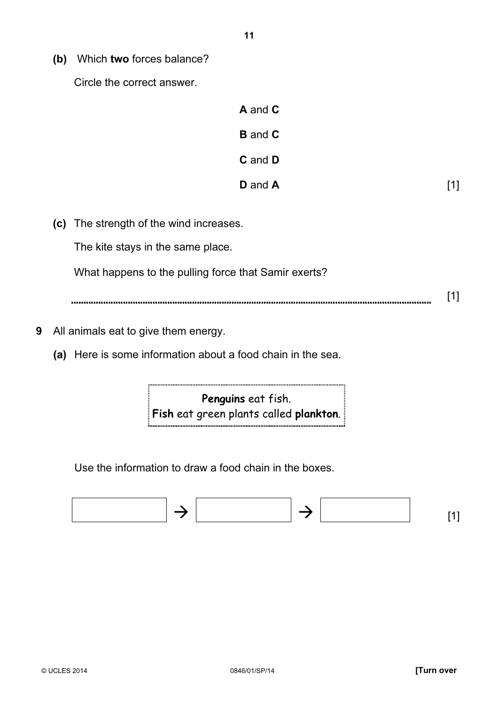(b) Which two forces balance?

Circle the correct answer.

| A and C               |     |
|-----------------------|-----|
| <b>B</b> and <b>C</b> |     |
| C and D               |     |
| D and A               | [1] |

(c) The strength of the wind increases.

The kite stays in the same place.

What happens to the pulling force that Samir exerts?

[1]

- 9 All animals eat to give them energy.
	- (a) Here is some information about a food chain in the sea.

Penguins eat fish. Fish eat green plants called plankton.

Use the information to draw a food chain in the boxes.

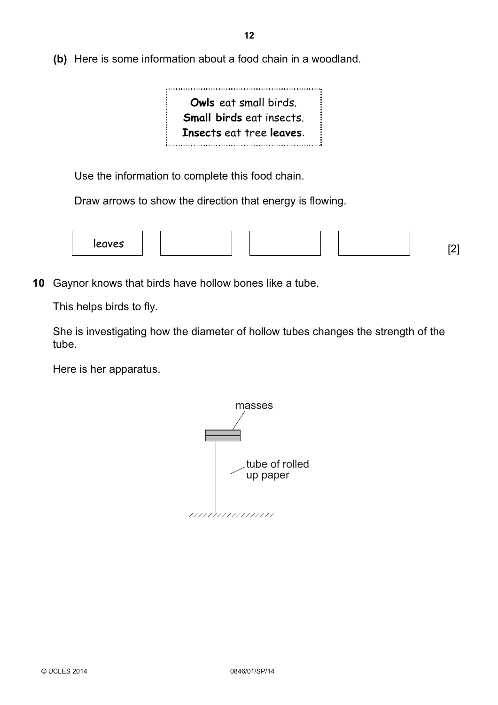(b) Here is some information about a food chain in a woodland.

Owls eat small birds. Small birds eat insects. Insects eat tree leaves.

Use the information to complete this food chain.

Î

Draw arrows to show the direction that energy is flowing.



10 Gaynor knows that birds have hollow bones like a tube.

This helps birds to fly.

She is investigating how the diameter of hollow tubes changes the strength of the tube.

Here is her apparatus.

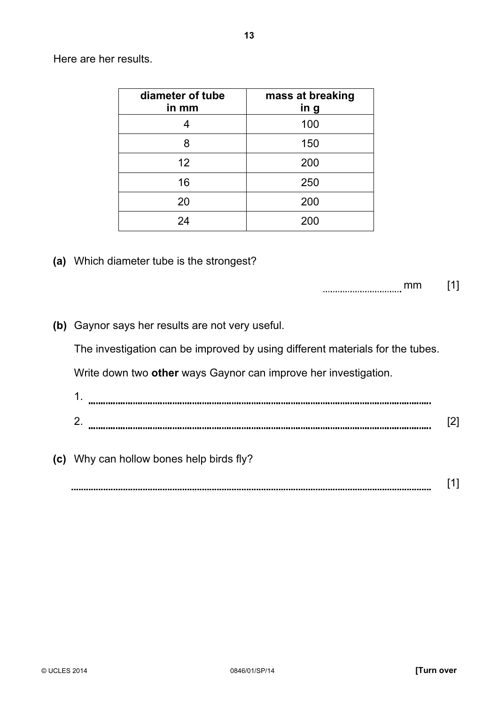| diameter of tube<br>in mm | mass at breaking<br>in g |
|---------------------------|--------------------------|
|                           | 100                      |
| 8                         | 150                      |
| $12 \overline{ }$         | 200                      |
| 16                        | 250                      |
| 20                        | 200                      |
| 24                        | 200                      |

(a) Which diameter tube is the strongest?

mm [1]

(b) Gaynor says her results are not very useful.

The investigation can be improved by using different materials for the tubes.

Write down two other ways Gaynor can improve her investigation.

 1. 2. [2]

(c) Why can hollow bones help birds fly?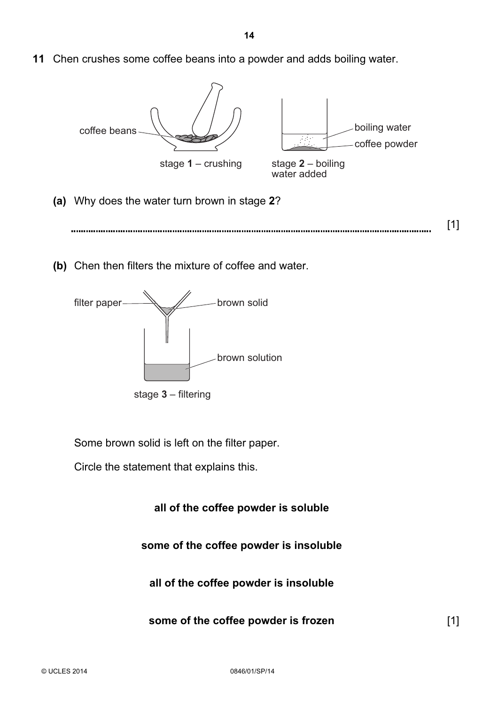11 Chen crushes some coffee beans into a powder and adds boiling water.



(a) Why does the water turn brown in stage 2?

$$
[1] \qquad \qquad [1]
$$

(b) Chen then filters the mixture of coffee and water.



Some brown solid is left on the filter paper.

Circle the statement that explains this.

all of the coffee powder is soluble

some of the coffee powder is insoluble

all of the coffee powder is insoluble

some of the coffee powder is frozen [1]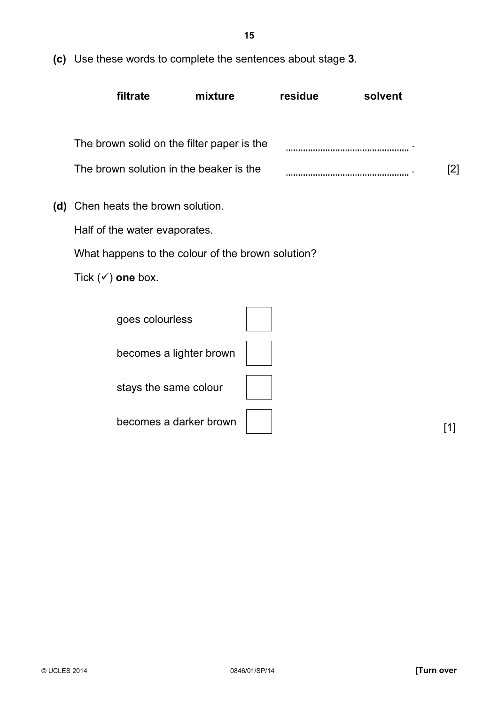- 15
- (c) Use these words to complete the sentences about stage 3.

| filtrate                                          | mixture | residue | solvent |       |
|---------------------------------------------------|---------|---------|---------|-------|
| The brown solid on the filter paper is the        |         |         |         |       |
| The brown solution in the beaker is the           |         |         |         | $[2]$ |
| (d) Chen heats the brown solution.                |         |         |         |       |
| Half of the water evaporates.                     |         |         |         |       |
| What happens to the colour of the brown solution? |         |         |         |       |
| Tick $(\checkmark)$ one box.                      |         |         |         |       |
| goes colourless                                   |         |         |         |       |
| becomes a lighter brown                           |         |         |         |       |

stays the same colour

becomes a darker brown [1]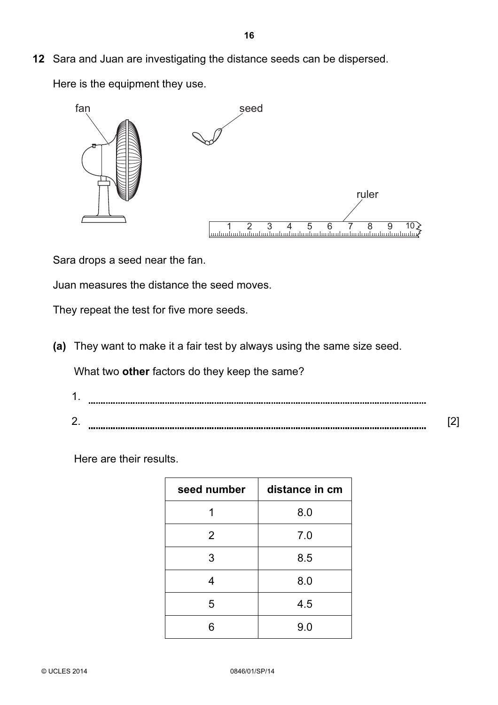12 Sara and Juan are investigating the distance seeds can be dispersed.

Here is the equipment they use.



Sara drops a seed near the fan.

Juan measures the distance the seed moves.

They repeat the test for five more seeds.

(a) They want to make it a fair test by always using the same size seed.

What two other factors do they keep the same?

Here are their results.

| seed number | distance in cm |  |
|-------------|----------------|--|
|             | 8.0            |  |
| 2           | 7.0            |  |
| 3           | 8.5            |  |
|             | 8.0            |  |
| 5           | 4.5            |  |
|             | 9.0            |  |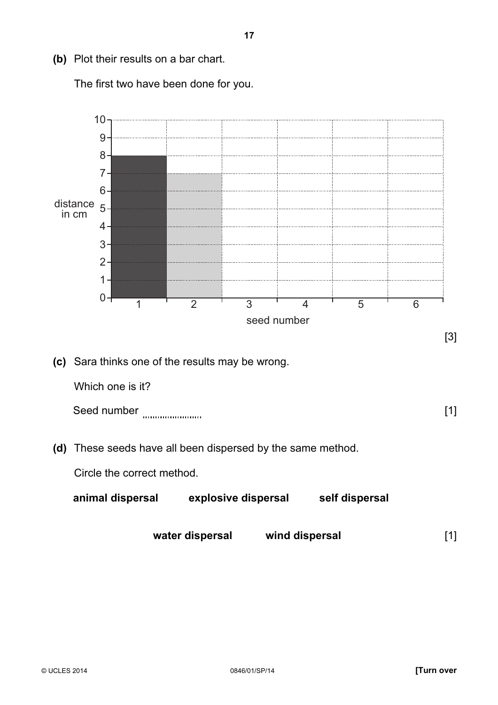(b) Plot their results on a bar chart.

The first two have been done for you.



(c) Sara thinks one of the results may be wrong.

Which one is it?

Seed number [1]

(d) These seeds have all been dispersed by the same method.

Circle the correct method.

| animal dispersal | explosive dispersal | self dispersal |  |
|------------------|---------------------|----------------|--|
|                  |                     |                |  |

water dispersal wind dispersal [1]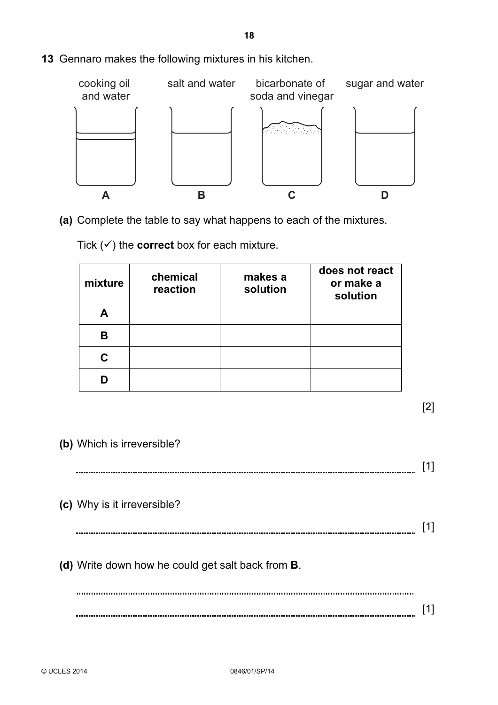- **A** cooking oil and water **B** C D salt and water bicarbonate of sugar and water soda and vinegar
- 13 Gennaro makes the following mixtures in his kitchen.

(a) Complete the table to say what happens to each of the mixtures.

| Tick $(\checkmark)$ the <b>correct</b> box for each mixture. |  |
|--------------------------------------------------------------|--|
|                                                              |  |

| mixture | chemical<br>reaction | makes a<br>solution | does not react<br>or make a<br>solution |
|---------|----------------------|---------------------|-----------------------------------------|
| А       |                      |                     |                                         |
| В       |                      |                     |                                         |
| C       |                      |                     |                                         |
|         |                      |                     |                                         |

 $[2]$ 

 (b) Which is irreversible? [1] (c) Why is it irreversible? [1] (d) Write down how he could get salt back from B. [1]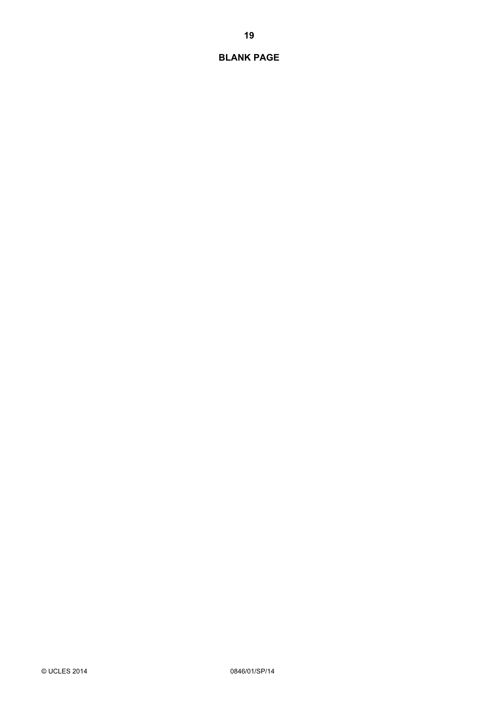## BLANK PAGE